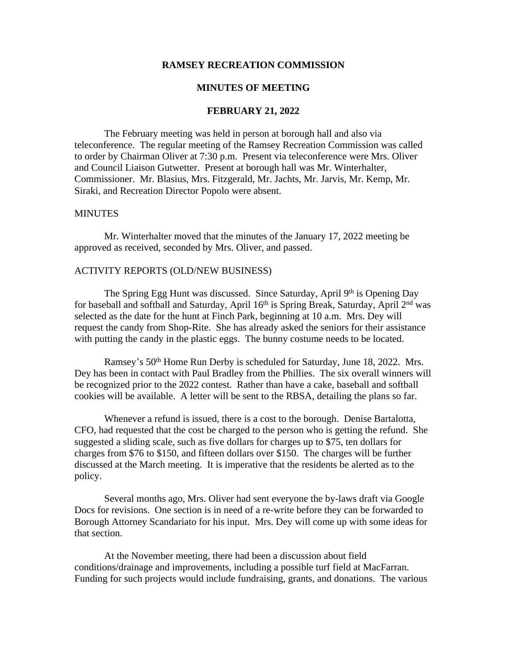### **RAMSEY RECREATION COMMISSION**

# **MINUTES OF MEETING**

# **FEBRUARY 21, 2022**

The February meeting was held in person at borough hall and also via teleconference. The regular meeting of the Ramsey Recreation Commission was called to order by Chairman Oliver at 7:30 p.m. Present via teleconference were Mrs. Oliver and Council Liaison Gutwetter. Present at borough hall was Mr. Winterhalter, Commissioner. Mr. Blasius, Mrs. Fitzgerald, Mr. Jachts, Mr. Jarvis, Mr. Kemp, Mr. Siraki, and Recreation Director Popolo were absent.

#### **MINUTES**

Mr. Winterhalter moved that the minutes of the January 17, 2022 meeting be approved as received, seconded by Mrs. Oliver, and passed.

#### ACTIVITY REPORTS (OLD/NEW BUSINESS)

The Spring Egg Hunt was discussed. Since Saturday, April 9<sup>th</sup> is Opening Day for baseball and softball and Saturday, April 16<sup>th</sup> is Spring Break, Saturday, April 2<sup>nd</sup> was selected as the date for the hunt at Finch Park, beginning at 10 a.m. Mrs. Dey will request the candy from Shop-Rite. She has already asked the seniors for their assistance with putting the candy in the plastic eggs. The bunny costume needs to be located.

Ramsey's 50<sup>th</sup> Home Run Derby is scheduled for Saturday, June 18, 2022. Mrs. Dey has been in contact with Paul Bradley from the Phillies. The six overall winners will be recognized prior to the 2022 contest. Rather than have a cake, baseball and softball cookies will be available. A letter will be sent to the RBSA, detailing the plans so far.

Whenever a refund is issued, there is a cost to the borough. Denise Bartalotta, CFO, had requested that the cost be charged to the person who is getting the refund. She suggested a sliding scale, such as five dollars for charges up to \$75, ten dollars for charges from \$76 to \$150, and fifteen dollars over \$150. The charges will be further discussed at the March meeting. It is imperative that the residents be alerted as to the policy.

Several months ago, Mrs. Oliver had sent everyone the by-laws draft via Google Docs for revisions. One section is in need of a re-write before they can be forwarded to Borough Attorney Scandariato for his input. Mrs. Dey will come up with some ideas for that section.

At the November meeting, there had been a discussion about field conditions/drainage and improvements, including a possible turf field at MacFarran. Funding for such projects would include fundraising, grants, and donations. The various